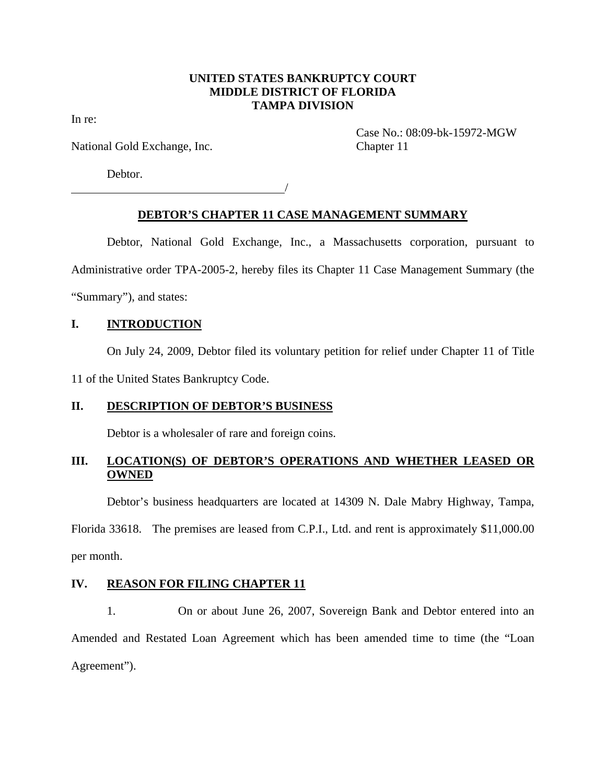### **UNITED STATES BANKRUPTCY COURT MIDDLE DISTRICT OF FLORIDA TAMPA DIVISION**

In re:

National Gold Exchange, Inc. Chapter 11

/

Debtor.

Case No.: 08:09-bk-15972-MGW

**DEBTOR'S CHAPTER 11 CASE MANAGEMENT SUMMARY**

Debtor, National Gold Exchange, Inc., a Massachusetts corporation, pursuant to Administrative order TPA-2005-2, hereby files its Chapter 11 Case Management Summary (the "Summary"), and states:

## **I. INTRODUCTION**

On July 24, 2009, Debtor filed its voluntary petition for relief under Chapter 11 of Title

11 of the United States Bankruptcy Code.

### **II. DESCRIPTION OF DEBTOR'S BUSINESS**

Debtor is a wholesaler of rare and foreign coins.

# **III. LOCATION(S) OF DEBTOR'S OPERATIONS AND WHETHER LEASED OR OWNED**

Debtor's business headquarters are located at 14309 N. Dale Mabry Highway, Tampa, Florida 33618. The premises are leased from C.P.I., Ltd. and rent is approximately \$11,000.00

per month.

# **IV. REASON FOR FILING CHAPTER 11**

1. On or about June 26, 2007, Sovereign Bank and Debtor entered into an Amended and Restated Loan Agreement which has been amended time to time (the "Loan Agreement").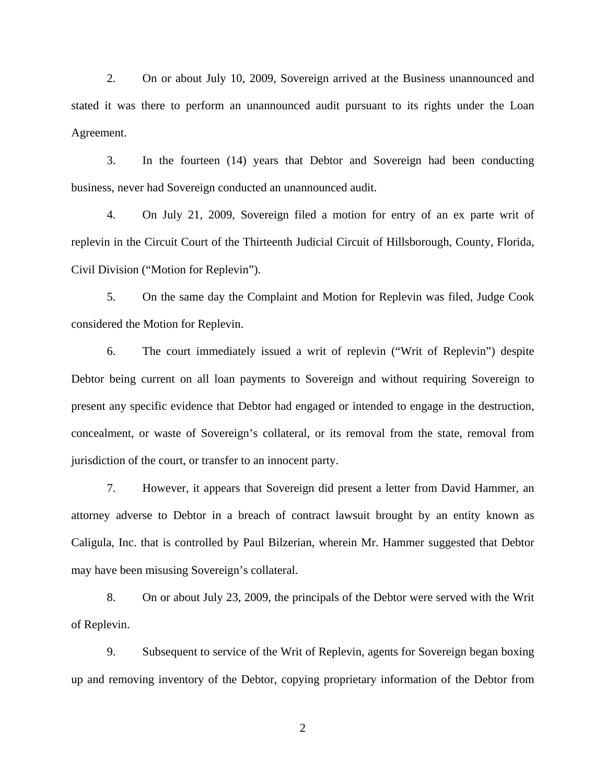2. On or about July 10, 2009, Sovereign arrived at the Business unannounced and stated it was there to perform an unannounced audit pursuant to its rights under the Loan Agreement.

3. In the fourteen (14) years that Debtor and Sovereign had been conducting business, never had Sovereign conducted an unannounced audit.

4. On July 21, 2009, Sovereign filed a motion for entry of an ex parte writ of replevin in the Circuit Court of the Thirteenth Judicial Circuit of Hillsborough, County, Florida, Civil Division ("Motion for Replevin").

5. On the same day the Complaint and Motion for Replevin was filed, Judge Cook considered the Motion for Replevin.

6. The court immediately issued a writ of replevin ("Writ of Replevin") despite Debtor being current on all loan payments to Sovereign and without requiring Sovereign to present any specific evidence that Debtor had engaged or intended to engage in the destruction, concealment, or waste of Sovereign's collateral, or its removal from the state, removal from jurisdiction of the court, or transfer to an innocent party.

7. However, it appears that Sovereign did present a letter from David Hammer, an attorney adverse to Debtor in a breach of contract lawsuit brought by an entity known as Caligula, Inc. that is controlled by Paul Bilzerian, wherein Mr. Hammer suggested that Debtor may have been misusing Sovereign's collateral.

8. On or about July 23, 2009, the principals of the Debtor were served with the Writ of Replevin.

9. Subsequent to service of the Writ of Replevin, agents for Sovereign began boxing up and removing inventory of the Debtor, copying proprietary information of the Debtor from

2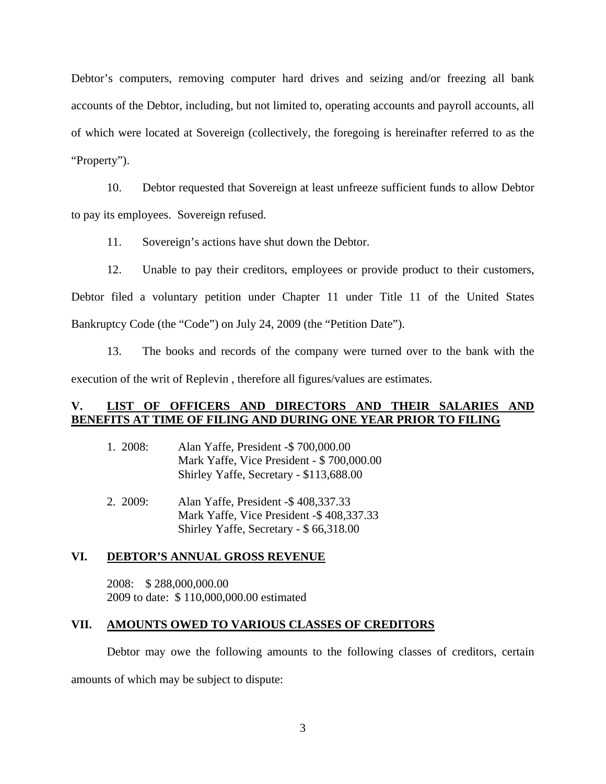Debtor's computers, removing computer hard drives and seizing and/or freezing all bank accounts of the Debtor, including, but not limited to, operating accounts and payroll accounts, all of which were located at Sovereign (collectively, the foregoing is hereinafter referred to as the "Property").

10. Debtor requested that Sovereign at least unfreeze sufficient funds to allow Debtor to pay its employees. Sovereign refused.

11. Sovereign's actions have shut down the Debtor.

12. Unable to pay their creditors, employees or provide product to their customers,

Debtor filed a voluntary petition under Chapter 11 under Title 11 of the United States Bankruptcy Code (the "Code") on July 24, 2009 (the "Petition Date").

13. The books and records of the company were turned over to the bank with the execution of the writ of Replevin , therefore all figures/values are estimates.

### **V. LIST OF OFFICERS AND DIRECTORS AND THEIR SALARIES AND BENEFITS AT TIME OF FILING AND DURING ONE YEAR PRIOR TO FILING**

| 1.2008: | Alan Yaffe, President -\$700,000.00       |
|---------|-------------------------------------------|
|         | Mark Yaffe, Vice President - \$700,000.00 |
|         | Shirley Yaffe, Secretary - \$113,688.00   |

 2. 2009: Alan Yaffe, President -\$ 408,337.33 Mark Yaffe, Vice President -\$ 408,337.33 Shirley Yaffe, Secretary - \$ 66,318.00

#### **VI. DEBTOR'S ANNUAL GROSS REVENUE**

 2008: \$ 288,000,000.00 2009 to date: \$ 110,000,000.00 estimated

#### **VII. AMOUNTS OWED TO VARIOUS CLASSES OF CREDITORS**

Debtor may owe the following amounts to the following classes of creditors, certain

amounts of which may be subject to dispute: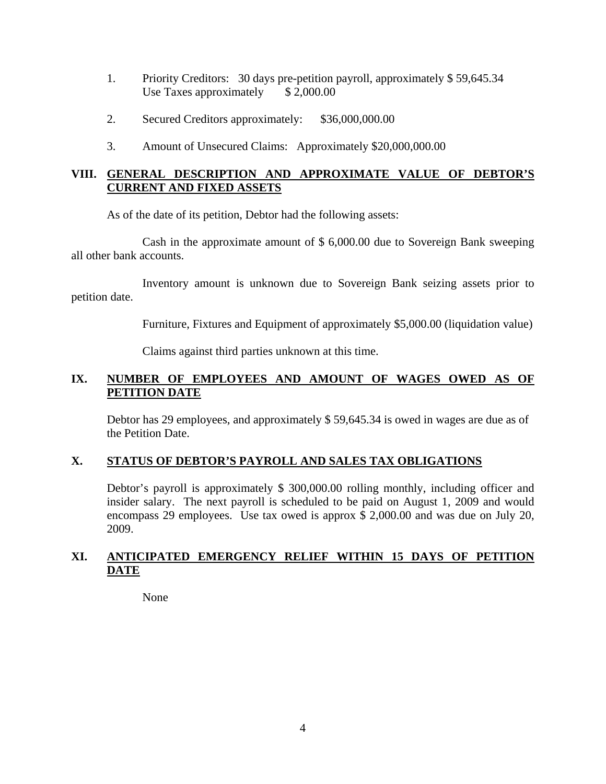- 1. Priority Creditors: 30 days pre-petition payroll, approximately \$ 59,645.34 Use Taxes approximately \$2,000.00
- 2. Secured Creditors approximately: \$36,000,000.00
- 3. Amount of Unsecured Claims: Approximately \$20,000,000.00

### **VIII. GENERAL DESCRIPTION AND APPROXIMATE VALUE OF DEBTOR'S CURRENT AND FIXED ASSETS**

As of the date of its petition, Debtor had the following assets:

 Cash in the approximate amount of \$ 6,000.00 due to Sovereign Bank sweeping all other bank accounts.

 Inventory amount is unknown due to Sovereign Bank seizing assets prior to petition date.

Furniture, Fixtures and Equipment of approximately \$5,000.00 (liquidation value)

Claims against third parties unknown at this time.

### **IX. NUMBER OF EMPLOYEES AND AMOUNT OF WAGES OWED AS OF PETITION DATE**

Debtor has 29 employees, and approximately \$ 59,645.34 is owed in wages are due as of the Petition Date.

### **X. STATUS OF DEBTOR'S PAYROLL AND SALES TAX OBLIGATIONS**

Debtor's payroll is approximately \$ 300,000.00 rolling monthly, including officer and insider salary. The next payroll is scheduled to be paid on August 1, 2009 and would encompass 29 employees. Use tax owed is approx \$ 2,000.00 and was due on July 20, 2009.

### **XI. ANTICIPATED EMERGENCY RELIEF WITHIN 15 DAYS OF PETITION DATE**

None